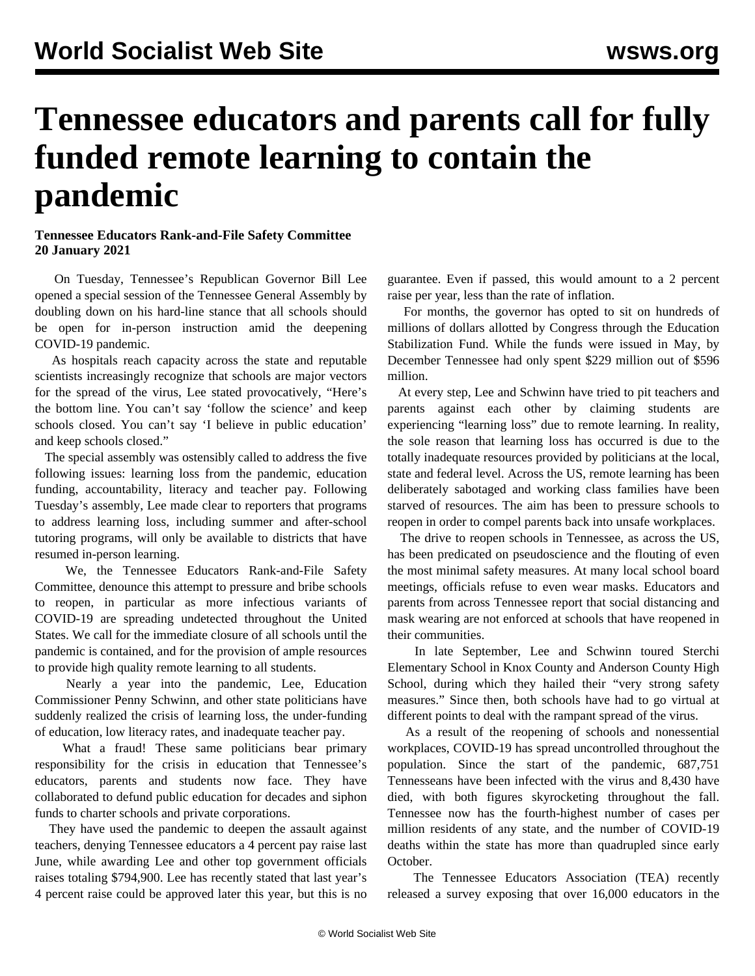## **Tennessee educators and parents call for fully funded remote learning to contain the pandemic**

## **Tennessee Educators Rank-and-File Safety Committee 20 January 2021**

 On Tuesday, Tennessee's Republican Governor Bill Lee opened a special session of the Tennessee General Assembly by doubling down on his hard-line stance that all schools should be open for in-person instruction amid the deepening COVID-19 pandemic.

 As hospitals reach capacity across the state and reputable scientists [increasingly recognize](/en/articles/2021/01/20/scho-j20.html) that schools are [major vectors](/en/articles/2021/01/21/scho-j21.html) [for the spread of the virus,](/en/articles/2021/01/21/scho-j21.html) Lee stated provocatively, "Here's the bottom line. You can't say 'follow the science' and keep schools closed. You can't say 'I believe in public education' and keep schools closed."

 The special assembly was ostensibly called to address the five following issues: learning loss from the pandemic, education funding, accountability, literacy and teacher pay. Following Tuesday's assembly, Lee made clear to reporters that programs to address learning loss, including summer and after-school tutoring programs, will only be available to districts that have resumed in-person learning.

 We, the Tennessee Educators Rank-and-File Safety Committee, denounce this attempt to pressure and bribe schools to reopen, in particular as more infectious variants of COVID-19 are spreading undetected throughout the United States. We call for the immediate closure of all schools until the pandemic is contained, and for the provision of ample resources to provide high quality remote learning to all students.

 Nearly a year into the pandemic, Lee, Education Commissioner Penny Schwinn, and other state politicians have suddenly realized the crisis of learning loss, the under-funding of education, low literacy rates, and inadequate teacher pay.

What a fraud! These same politicians bear primary responsibility for the crisis in education that Tennessee's educators, parents and students now face. They have collaborated to defund public education for decades and siphon funds to charter schools and private corporations.

 They have used the pandemic to deepen the assault against teachers, denying Tennessee educators a 4 percent pay raise last June, while awarding Lee and other top government officials raises totaling \$794,900. Lee has recently stated that last year's 4 percent raise could be approved later this year, but this is no guarantee. Even if passed, this would amount to a 2 percent raise per year, less than the rate of inflation.

 For months, the governor has opted to sit on hundreds of millions of dollars allotted by Congress through the Education Stabilization Fund. While the funds were issued in May, by December Tennessee had only spent \$229 million out of \$596 million.

 At every step, Lee and Schwinn have tried to pit teachers and parents against each other by claiming students are experiencing "learning loss" due to remote learning. In reality, the sole reason that learning loss has occurred is due to the totally inadequate resources provided by politicians at the local, state and federal level. Across the US, remote learning has been [deliberately sabotaged](/en/articles/2020/11/10/onl2-n10.html) and working class families have been starved of resources. The aim has been to pressure schools to reopen in order to compel parents back into unsafe workplaces.

 The drive to reopen schools in Tennessee, as across the US, has been predicated on pseudoscience and the flouting of even the most minimal safety measures. At many local school board meetings, officials refuse to even wear masks. Educators and parents from across Tennessee report that social distancing and mask wearing are not enforced at schools that have reopened in their communities.

 In late September, Lee and Schwinn toured Sterchi Elementary School in Knox County and Anderson County High School, during which they hailed their "[very strong safety](/en/articles/2020/10/19/keen-o19.html) [measures](/en/articles/2020/10/19/keen-o19.html)." Since then, both schools have had to go virtual at different points to deal with the rampant spread of the virus.

 As a result of the reopening of schools and nonessential workplaces, COVID-19 has spread uncontrolled throughout the population. Since the start of the pandemic, 687,751 Tennesseans have been infected with the virus and 8,430 have died, with both figures skyrocketing throughout the fall. Tennessee now has the fourth-highest number of cases per million residents of any state, and the number of COVID-19 deaths within the state has more than quadrupled since early October.

 The Tennessee Educators Association (TEA) recently released a survey exposing that [over 16,000 educators in the](/en/articles/2021/01/09/tenn-j09.html)